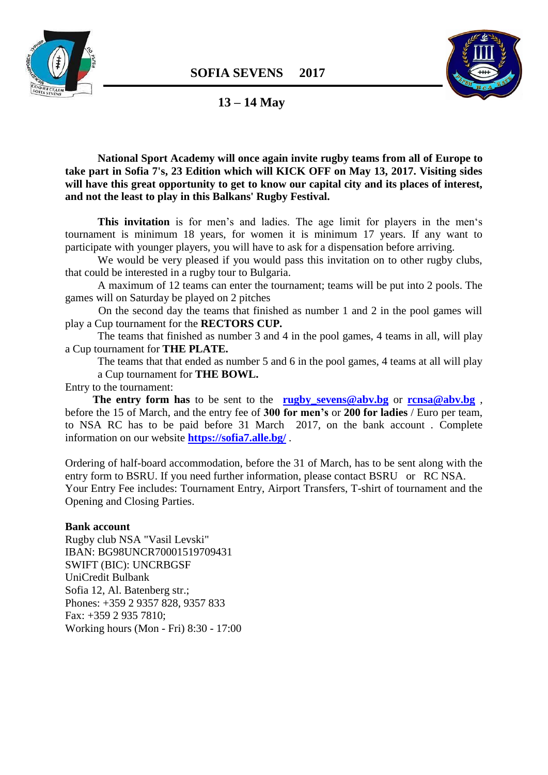



# **13 – 14 May**

**National Sport Academy will once again invite rugby teams from all of Europe to take part in Sofia 7's, 23 Edition which will KICK OFF on May 13, 2017. Visiting sides will have this great opportunity to get to know our capital city and its places of interest, and not the least to play in this Balkans' Rugby Festival.**

**This invitation** is for men's and ladies. The age limit for players in the men's tournament is minimum 18 years, for women it is minimum 17 years. If any want to participate with younger players, you will have to ask for a dispensation before arriving.

We would be very pleased if you would pass this invitation on to other rugby clubs, that could be interested in a rugby tour to Bulgaria.

 A maximum of 12 teams can enter the tournament; teams will be put into 2 pools. The games will on Saturday be played on 2 pitches

 On the second day the teams that finished as number 1 and 2 in the pool games will play a Cup tournament for the **RECTORS CUP.** 

The teams that finished as number 3 and 4 in the pool games, 4 teams in all, will play a Cup tournament for **THE PLATE.** 

The teams that that ended as number 5 and 6 in the pool games, 4 teams at all will play a Cup tournament for **THE BOWL.** 

Entry to the tournament:

**The entry form has** to be sent to the **rugby** sevens@abv.bg or **[rcnsa@abv.bg](mailto:rcnsa@abv.bg)**, before the 15 of March, and the entry fee of **300 for men's** or **200 for ladies** / Euro per team, to NSA RC has to be paid before 31 March 2017, on the bank account . Complete information on our website **<https://sofia7.alle.bg/>** .

Ordering of half-board accommodation, before the 31 of March, has to be sent along with the entry form to BSRU. If you need further information, please contact BSRU or RC NSA. Your Entry Fee includes: Tournament Entry, Airport Transfers, T-shirt of tournament and the Opening and Closing Parties.

#### **Bank account**

Rugby club NSA "Vasil Levski" IBAN: BG98UNCR70001519709431 SWIFT (BIC): UNCRBGSF UniCredit Bulbank Sofia 12, Al. Batenberg str.; Phones: +359 2 9357 828, 9357 833 Fax: +359 2 935 7810; Working hours (Mon - Fri) 8:30 - 17:00